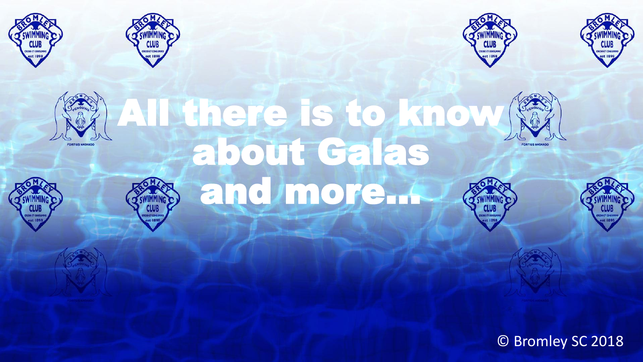















about Galas

and more…





© Bromley SC 2018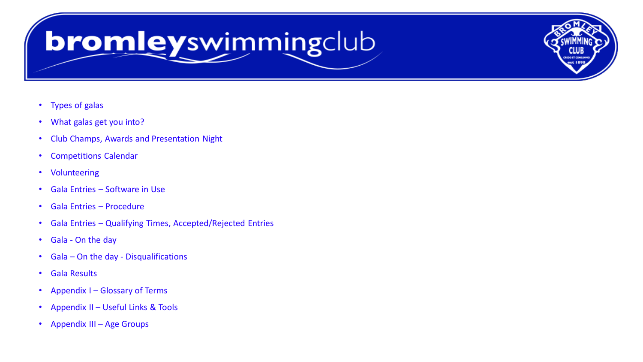# bromleyswimmingclub

- Types of galas
- What galas get you into?
- Club Champs, Awards and Presentation Night
- Competitions Calendar
- Volunteering
- Gala Entries Software in Use
- Gala Entries Procedure
- Gala Entries Qualifying Times, Accepted/Rejected Entries
- Gala On the day
- Gala On the day Disqualifications
- Gala Results
- Appendix I Glossary of Terms
- Appendix II Useful Links & Tools
- Appendix III Age Groups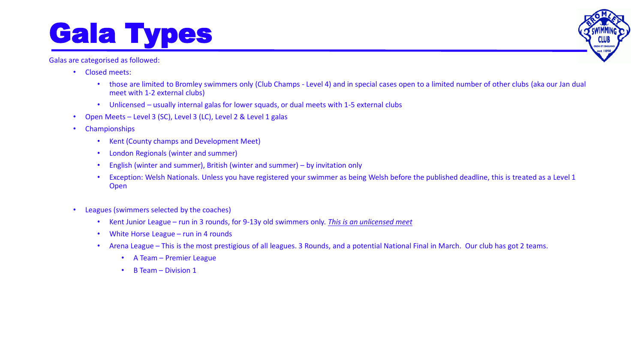# Gala Types

Galas are categorised as followed:

- Closed meets:
	- those are limited to Bromley swimmers only (Club Champs Level 4) and in special cases open to a limited number of other clubs (aka our Jan dual meet with 1-2 external clubs)
	- Unlicensed usually internal galas for lower squads, or dual meets with 1-5 external clubs
- Open Meets Level 3 (SC), Level 3 (LC), Level 2 & Level 1 galas
- Championships
	- Kent (County champs and Development Meet)
	- London Regionals (winter and summer)
	- English (winter and summer), British (winter and summer) by invitation only
	- Exception: Welsh Nationals. Unless you have registered your swimmer as being Welsh before the published deadline, this is treated as a Level 1 Open
- Leagues (swimmers selected by the coaches)
	- Kent Junior League run in 3 rounds, for 9-13y old swimmers only. *This is an unlicensed meet*
	- White Horse League run in 4 rounds
	- Arena League This is the most prestigious of all leagues. 3 Rounds, and a potential National Final in March. Our club has got 2 teams.
		- A Team Premier League
		- B Team Division 1

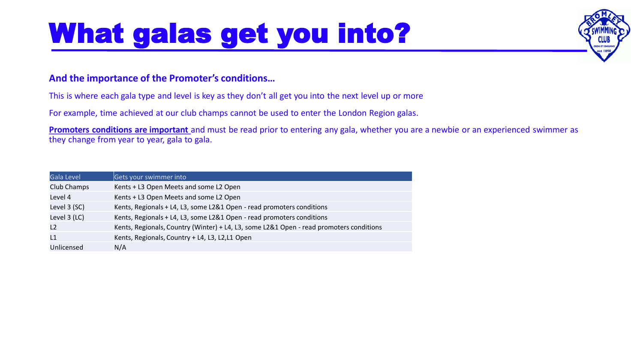# What galas get you into?



### **And the importance of the Promoter's conditions…**

This is where each gala type and level is key as they don't all get you into the next level up or more

For example, time achieved at our club champs cannot be used to enter the London Region galas.

**Promoters conditions are important** and must be read prior to entering any gala, whether you are a newbie or an experienced swimmer as they change from year to year, gala to gala.

| <b>Gala Level</b> | Gets your swimmer into                                                                  |
|-------------------|-----------------------------------------------------------------------------------------|
| Club Champs       | Kents + L3 Open Meets and some L2 Open                                                  |
| Level 4           | Kents + L3 Open Meets and some L2 Open                                                  |
| Level 3 (SC)      | Kents, Regionals + L4, L3, some L2&1 Open - read promoters conditions                   |
| Level 3 (LC)      | Kents, Regionals + L4, L3, some L2&1 Open - read promoters conditions                   |
| L2                | Kents, Regionals, Country (Winter) + L4, L3, some L2&1 Open - read promoters conditions |
| L1                | Kents, Regionals, Country + L4, L3, L2,L1 Open                                          |
| Unlicensed        | N/A                                                                                     |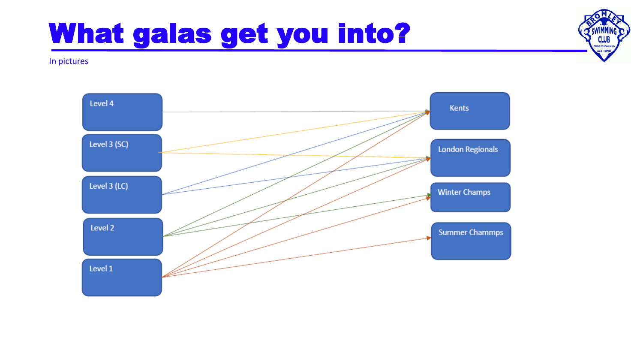# What galas get you into?

In pictures



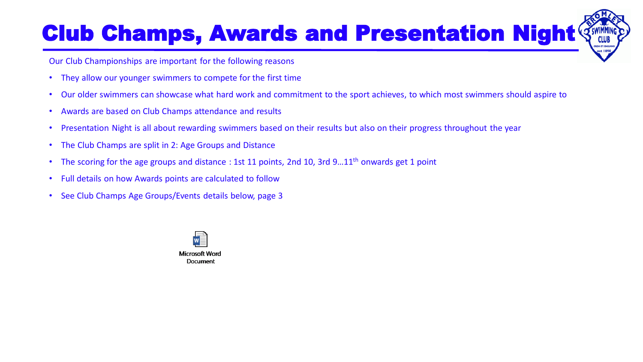## Club Champs, Awards and Presentation Night  $\Im$

Our Club Championships are important for the following reasons

- They allow our younger swimmers to compete for the first time
- Our older swimmers can showcase what hard work and commitment to the sport achieves, to which most swimmers should aspire to
- Awards are based on Club Champs attendance and results
- Presentation Night is all about rewarding swimmers based on their results but also on their progress throughout the year
- The Club Champs are split in 2: Age Groups and Distance
- The scoring for the age groups and distance : 1st 11 points, 2nd 10, 3rd 9...11<sup>th</sup> onwards get 1 point
- Full details on how Awards points are calculated to follow
- See Club Champs Age Groups/Events details below, page 3

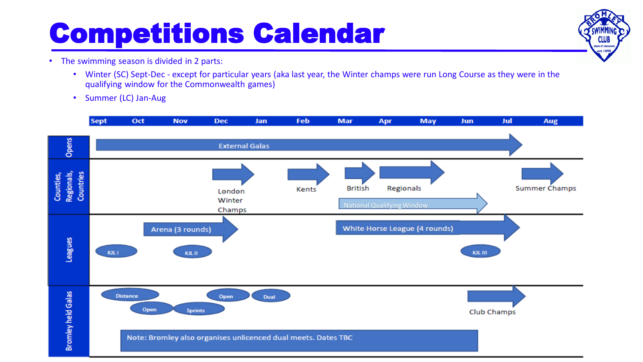# Competitions Calendar

**CLUB REDO ET CONSUM** est 1898

- The swimming season is divided in 2 parts:
	- Winter (SC) Sept-Dec except for particular years (aka last year, the Winter champs were run Long Course as they were in the qualifying window for the Commonwealth games)
	- Summer (LC) Jan-Aug

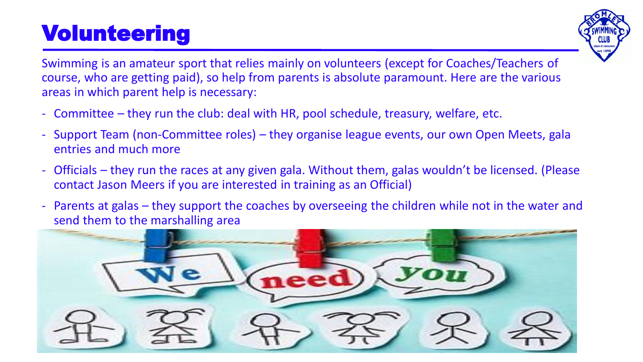## Volunteering



Swimming is an amateur sport that relies mainly on volunteers (except for Coaches/Teachers of course, who are getting paid), so help from parents is absolute paramount. Here are the various areas in which parent help is necessary:

- Committee they run the club: deal with HR, pool schedule, treasury, welfare, etc.
- Support Team (non-Committee roles) they organise league events, our own Open Meets, gala entries and much more
- Officials they run the races at any given gala. Without them, galas wouldn't be licensed. (Please contact Jason Meers if you are interested in training as an Official)
- Parents at galas they support the coaches by overseeing the children while not in the water and send them to the marshalling area

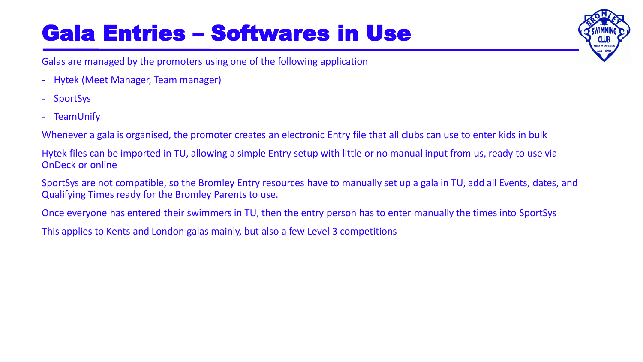## Gala Entries – Softwares in Use

Galas are managed by the promoters using one of the following application

- Hytek (Meet Manager, Team manager)
- SportSys
- TeamUnify

Whenever a gala is organised, the promoter creates an electronic Entry file that all clubs can use to enter kids in bulk

Hytek files can be imported in TU, allowing a simple Entry setup with little or no manual input from us, ready to use via OnDeck or online

SportSys are not compatible, so the Bromley Entry resources have to manually set up a gala in TU, add all Events, dates, and Qualifying Times ready for the Bromley Parents to use.

Once everyone has entered their swimmers in TU, then the entry person has to enter manually the times into SportSys

This applies to Kents and London galas mainly, but also a few Level 3 competitions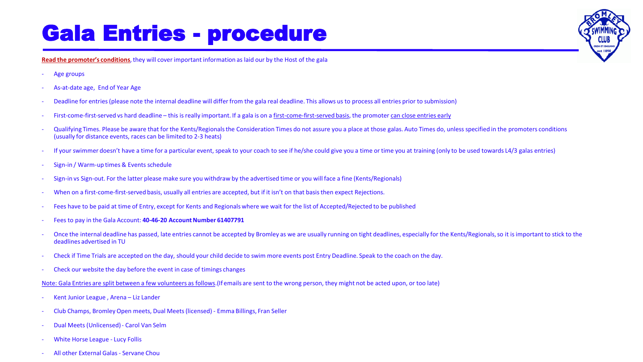## Gala Entries - procedure

**Read the promoter's conditions**, they will cover important information as laid our by the Host of the gala

- Age groups
- As-at-date age, End of Year Age
- Deadline for entries (please note the internal deadline will differ from the gala real deadline. This allows us to process all entries prior to submission)
- First-come-first-served vs hard deadline this is really important. If a gala is on a first-come-first-served basis, the promoter can close entries early
- Qualifying Times. Please be aware that for the Kents/Regionals the Consideration Times do not assure you a place at those galas. Auto Times do, unless specified in the promoters conditions (usually for distance events, races can be limited to 2-3 heats)
- If your swimmer doesn't have a time for a particular event, speak to your coach to see if he/she could give you a time or time you at training (only to be used towards L4/3 galas entries)
- Sign-in / Warm-up times & Events schedule
- Sign-in vs Sign-out. For the latter please make sure you withdraw by the advertised time or you will face a fine (Kents/Regionals)
- When on a first-come-first-served basis, usually all entries are accepted, but if it isn't on that basis then expect Rejections.
- Fees have to be paid at time of Entry, except for Kents and Regionals where we wait for the list of Accepted/Rejected to be published
- Fees to pay in the Gala Account: **40-46-20 Account Number 61407791**
- Once the internal deadline has passed, late entries cannot be accepted by Bromley as we are usually running on tight deadlines, especially for the Kents/Regionals, so it is important to stick to the deadlines advertised in TU
- Check if Time Trials are accepted on the day, should your child decide to swim more events post Entry Deadline. Speak to the coach on the day.
- Check our website the day before the event in case of timings changes
- Note: Gala Entries are split between a few volunteers as follows.(If emails are sent to the wrong person, they might not be acted upon, or too late)
- Kent Junior League , Arena Liz Lander
- Club Champs, Bromley Open meets, Dual Meets (licensed) Emma Billings, Fran Seller
- Dual Meets (Unlicensed) Carol Van Selm
- White Horse League Lucy Follis
- All other External Galas Servane Chou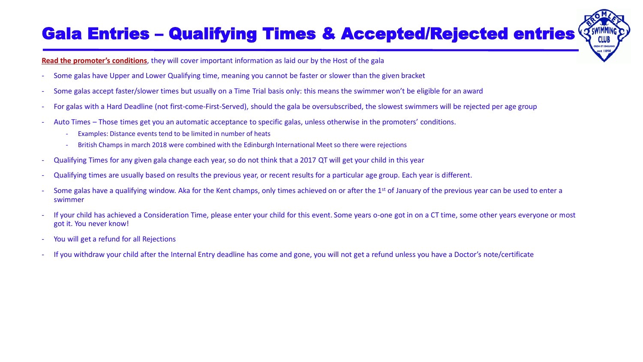### Gala Entries - Qualifying Times & Accepted/Rejected entries  $\Im$



**Read the promoter's conditions**, they will cover important information as laid our by the Host of the gala

- Some galas have Upper and Lower Qualifying time, meaning you cannot be faster or slower than the given bracket
- Some galas accept faster/slower times but usually on a Time Trial basis only: this means the swimmer won't be eligible for an award
- For galas with a Hard Deadline (not first-come-First-Served), should the gala be oversubscribed, the slowest swimmers will be rejected per age group
- Auto Times Those times get you an automatic acceptance to specific galas, unless otherwise in the promoters' conditions.
	- Examples: Distance events tend to be limited in number of heats
	- British Champs in march 2018 were combined with the Edinburgh International Meet so there were rejections
- Qualifying Times for any given gala change each year, so do not think that a 2017 QT will get your child in this year
- Qualifying times are usually based on results the previous year, or recent results for a particular age group. Each year is different.
- Some galas have a qualifying window. Aka for the Kent champs, only times achieved on or after the 1<sup>st</sup> of January of the previous year can be used to enter a swimmer
- If your child has achieved a Consideration Time, please enter your child for this event. Some years o-one got in on a CT time, some other years everyone or most got it. You never know!
- You will get a refund for all Rejections
- If you withdraw your child after the Internal Entry deadline has come and gone, you will not get a refund unless you have a Doctor's note/certificate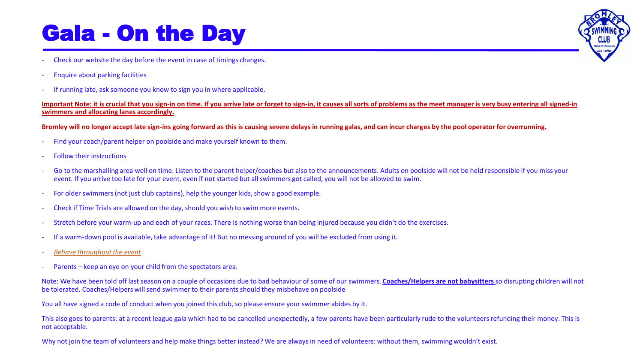## Gala - On the Day

- Check our website the day before the event in case of timings changes.
- Enquire about parking facilities
- If running late, ask someone you know to sign you in where applicable.

#### Important Note: it is crucial that you sign-in on time. If you arrive late or forget to sign-in, it causes all sorts of problems as the meet manager is very busy entering all signed-in **swimmers and allocating lanes accordingly.**

### **Bromley will no longer accept late sign-ins going forward as this is causing severe delays in running galas, and can incur charges by the pool operator for overrunning.**

- Find your coach/parent helper on poolside and make yourself known to them.
- Follow their instructions
- Go to the marshalling area well on time. Listen to the parent helper/coaches but also to the announcements. Adults on poolside will not be held responsible if you miss your event. If you arrive too late for your event, even if not started but all swimmers got called, you will not be allowed to swim.
- For older swimmers (not just club captains), help the younger kids, show a good example.
- Check if Time Trials are allowed on the day, should you wish to swim more events.
- Stretch before your warm-up and each of your races. There is nothing worse than being injured because you didn't do the exercises.
- If a warm-down pool is available, take advantage of it! But no messing around of you will be excluded from using it.
- *Behave throughout the event*
- Parents keep an eye on your child from the spectators area.

Note: We have been told off last season on a couple of occasions due to bad behaviour of some of our swimmers. **Coaches/Helpers are not babysitters** so disrupting children will not be tolerated. Coaches/Helpers will send swimmer to their parents should they misbehave on poolside

You all have signed a code of conduct when you joined this club, so please ensure your swimmer abides by it.

This also goes to parents: at a recent league gala which had to be cancelled unexpectedly, a few parents have been particularly rude to the volunteers refunding their money. This is not acceptable.

Why not join the team of volunteers and help make things better instead? We are always in need of volunteers: without them, swimming wouldn't exist.

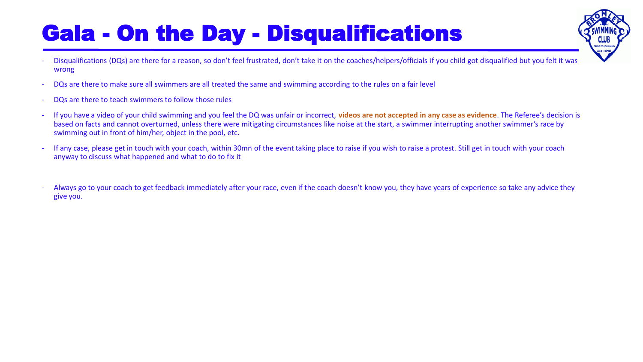## Gala - On the Day - Disqualifications

Disqualifications (DQs) are there for a reason, so don't feel frustrated, don't take it on the coaches/helpers/officials if you child got disqualified but you felt it was wrong

**FOO FT CONS** est 189

- DQs are there to make sure all swimmers are all treated the same and swimming according to the rules on a fair level
- DQs are there to teach swimmers to follow those rules
- If you have a video of your child swimming and you feel the DQ was unfair or incorrect, **videos are not accepted in any case as evidence**. The Referee's decision is based on facts and cannot overturned, unless there were mitigating circumstances like noise at the start, a swimmer interrupting another swimmer's race by swimming out in front of him/her, object in the pool, etc.
- If any case, please get in touch with your coach, within 30mn of the event taking place to raise if you wish to raise a protest. Still get in touch with your coach anyway to discuss what happened and what to do to fix it
- Always go to your coach to get feedback immediately after your race, even if the coach doesn't know you, they have years of experience so take any advice they give you.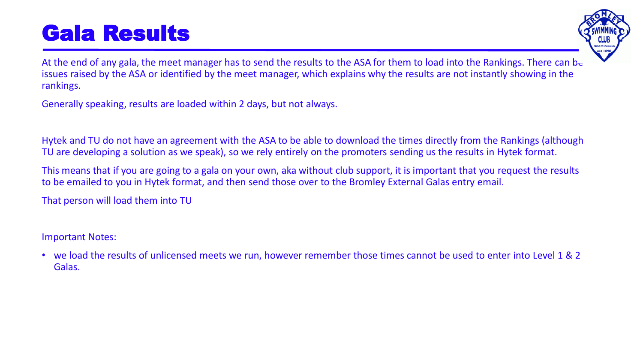## Gala Results



At the end of any gala, the meet manager has to send the results to the ASA for them to load into the Rankings. There can be issues raised by the ASA or identified by the meet manager, which explains why the results are not instantly showing in the rankings.

Generally speaking, results are loaded within 2 days, but not always.

Hytek and TU do not have an agreement with the ASA to be able to download the times directly from the Rankings (although TU are developing a solution as we speak), so we rely entirely on the promoters sending us the results in Hytek format.

This means that if you are going to a gala on your own, aka without club support, it is important that you request the results to be emailed to you in Hytek format, and then send those over to the Bromley External Galas entry email.

That person will load them into TU

Important Notes:

• we load the results of unlicensed meets we run, however remember those times cannot be used to enter into Level 1 & 2 Galas.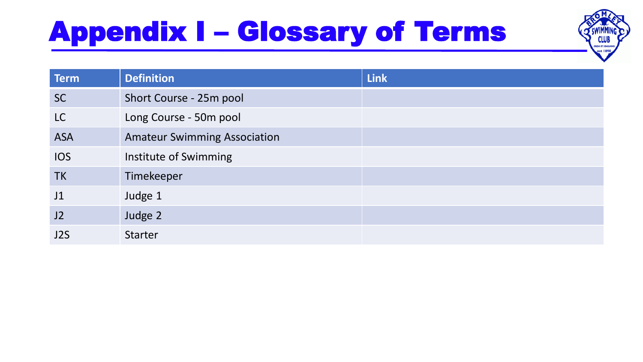# Appendix I – Glossary of Terms



| Term             | <b>Definition</b>                   | <b>Link</b> |
|------------------|-------------------------------------|-------------|
| <b>SC</b>        | Short Course - 25m pool             |             |
| LC               | Long Course - 50m pool              |             |
| <b>ASA</b>       | <b>Amateur Swimming Association</b> |             |
| <b>IOS</b>       | Institute of Swimming               |             |
| <b>TK</b>        | Timekeeper                          |             |
| J1               | Judge 1                             |             |
| J2               | Judge 2                             |             |
| J <sub>2</sub> S | <b>Starter</b>                      |             |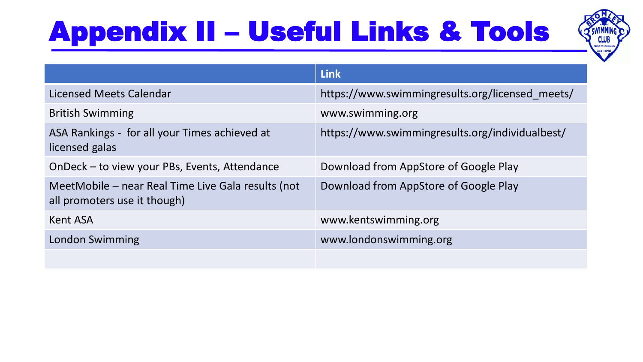# Appendix II – Useful Links & Tools



|                                                                                    | <b>Link</b>                                     |
|------------------------------------------------------------------------------------|-------------------------------------------------|
| <b>Licensed Meets Calendar</b>                                                     | https://www.swimmingresults.org/licensed meets/ |
| <b>British Swimming</b>                                                            | www.swimming.org                                |
| ASA Rankings - for all your Times achieved at<br>licensed galas                    | https://www.swimmingresults.org/individualbest/ |
| OnDeck - to view your PBs, Events, Attendance                                      | Download from AppStore of Google Play           |
| MeetMobile – near Real Time Live Gala results (not<br>all promoters use it though) | Download from AppStore of Google Play           |
| Kent ASA                                                                           | www.kentswimming.org                            |
| London Swimming                                                                    | www.londonswimming.org                          |
|                                                                                    |                                                 |